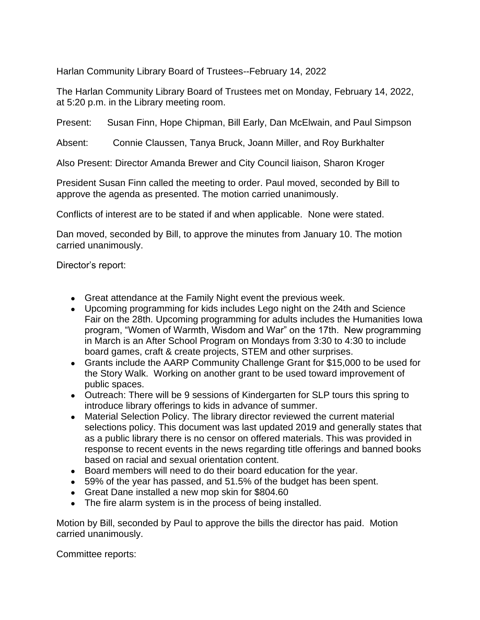Harlan Community Library Board of Trustees--February 14, 2022

The Harlan Community Library Board of Trustees met on Monday, February 14, 2022, at 5:20 p.m. in the Library meeting room.

Present: Susan Finn, Hope Chipman, Bill Early, Dan McElwain, and Paul Simpson

Absent: Connie Claussen, Tanya Bruck, Joann Miller, and Roy Burkhalter

Also Present: Director Amanda Brewer and City Council liaison, Sharon Kroger

President Susan Finn called the meeting to order. Paul moved, seconded by Bill to approve the agenda as presented. The motion carried unanimously.

Conflicts of interest are to be stated if and when applicable. None were stated.

Dan moved, seconded by Bill, to approve the minutes from January 10. The motion carried unanimously.

Director's report:

- Great attendance at the Family Night event the previous week.
- Upcoming programming for kids includes Lego night on the 24th and Science Fair on the 28th. Upcoming programming for adults includes the Humanities Iowa program, "Women of Warmth, Wisdom and War" on the 17th. New programming in March is an After School Program on Mondays from 3:30 to 4:30 to include board games, craft & create projects, STEM and other surprises.
- Grants include the AARP Community Challenge Grant for \$15,000 to be used for the Story Walk. Working on another grant to be used toward improvement of public spaces.
- Outreach: There will be 9 sessions of Kindergarten for SLP tours this spring to introduce library offerings to kids in advance of summer.
- Material Selection Policy. The library director reviewed the current material selections policy. This document was last updated 2019 and generally states that as a public library there is no censor on offered materials. This was provided in response to recent events in the news regarding title offerings and banned books based on racial and sexual orientation content.
- Board members will need to do their board education for the year.
- 59% of the year has passed, and 51.5% of the budget has been spent.
- Great Dane installed a new mop skin for \$804.60
- The fire alarm system is in the process of being installed.

Motion by Bill, seconded by Paul to approve the bills the director has paid. Motion carried unanimously.

Committee reports: